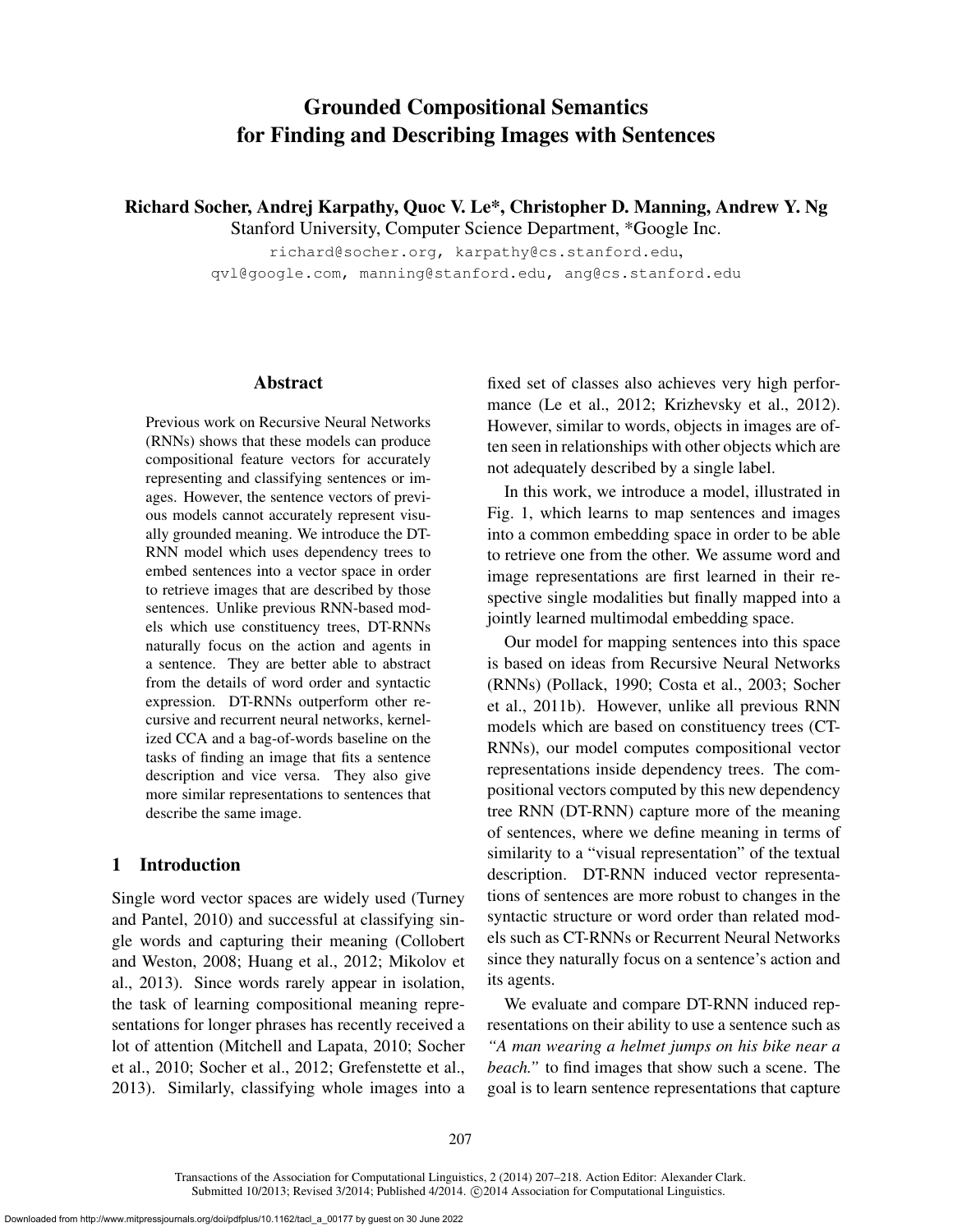# Grounded Compositional Semantics for Finding and Describing Images with Sentences

Richard Socher, Andrej Karpathy, Quoc V. Le\*, Christopher D. Manning, Andrew Y. Ng

Stanford University, Computer Science Department, \*Google Inc.

richard@socher.org, karpathy@cs.stanford.edu, qvl@google.com, manning@stanford.edu, ang@cs.stanford.edu

#### Abstract

Previous work on Recursive Neural Networks (RNNs) shows that these models can produce compositional feature vectors for accurately representing and classifying sentences or images. However, the sentence vectors of previous models cannot accurately represent visually grounded meaning. We introduce the DT-RNN model which uses dependency trees to embed sentences into a vector space in order to retrieve images that are described by those sentences. Unlike previous RNN-based models which use constituency trees, DT-RNNs naturally focus on the action and agents in a sentence. They are better able to abstract from the details of word order and syntactic expression. DT-RNNs outperform other recursive and recurrent neural networks, kernelized CCA and a bag-of-words baseline on the tasks of finding an image that fits a sentence description and vice versa. They also give more similar representations to sentences that describe the same image.

### 1 Introduction

Single word vector spaces are widely used (Turney and Pantel, 2010) and successful at classifying single words and capturing their meaning (Collobert and Weston, 2008; Huang et al., 2012; Mikolov et al., 2013). Since words rarely appear in isolation, the task of learning compositional meaning representations for longer phrases has recently received a lot of attention (Mitchell and Lapata, 2010; Socher et al., 2010; Socher et al., 2012; Grefenstette et al., 2013). Similarly, classifying whole images into a fixed set of classes also achieves very high performance (Le et al., 2012; Krizhevsky et al., 2012). However, similar to words, objects in images are often seen in relationships with other objects which are not adequately described by a single label.

In this work, we introduce a model, illustrated in Fig. 1, which learns to map sentences and images into a common embedding space in order to be able to retrieve one from the other. We assume word and image representations are first learned in their respective single modalities but finally mapped into a jointly learned multimodal embedding space.

Our model for mapping sentences into this space is based on ideas from Recursive Neural Networks (RNNs) (Pollack, 1990; Costa et al., 2003; Socher et al., 2011b). However, unlike all previous RNN models which are based on constituency trees (CT-RNNs), our model computes compositional vector representations inside dependency trees. The compositional vectors computed by this new dependency tree RNN (DT-RNN) capture more of the meaning of sentences, where we define meaning in terms of similarity to a "visual representation" of the textual description. DT-RNN induced vector representations of sentences are more robust to changes in the syntactic structure or word order than related models such as CT-RNNs or Recurrent Neural Networks since they naturally focus on a sentence's action and its agents.

We evaluate and compare DT-RNN induced representations on their ability to use a sentence such as *"A man wearing a helmet jumps on his bike near a beach."* to find images that show such a scene. The goal is to learn sentence representations that capture

Transactions of the Association for Computational Linguistics, 2 (2014) 207–218. Action Editor: Alexander Clark. Submitted 10/2013; Revised 3/2014; Published 4/2014. ©2014 Association for Computational Linguistics.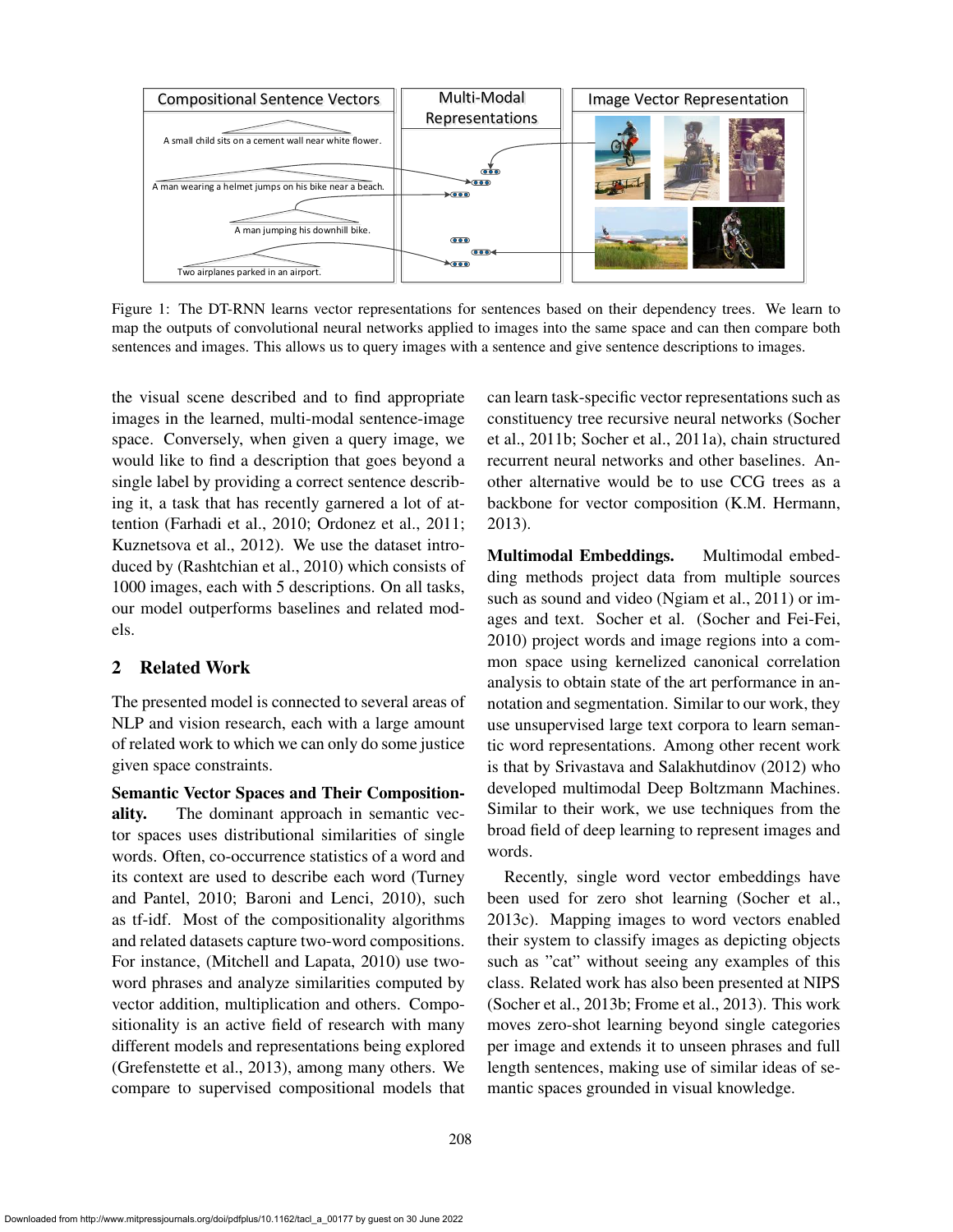

Figure 1: The DT-RNN learns vector representations for sentences based on their dependency trees. We learn to map the outputs of convolutional neural networks applied to images into the same space and can then compare both sentences and images. This allows us to query images with a sentence and give sentence descriptions to images.

the visual scene described and to find appropriate images in the learned, multi-modal sentence-image space. Conversely, when given a query image, we would like to find a description that goes beyond a single label by providing a correct sentence describing it, a task that has recently garnered a lot of attention (Farhadi et al., 2010; Ordonez et al., 2011; Kuznetsova et al., 2012). We use the dataset introduced by (Rashtchian et al., 2010) which consists of 1000 images, each with 5 descriptions. On all tasks, our model outperforms baselines and related models.

# 2 Related Work

The presented model is connected to several areas of NLP and vision research, each with a large amount of related work to which we can only do some justice given space constraints.

Semantic Vector Spaces and Their Compositionality. The dominant approach in semantic vector spaces uses distributional similarities of single words. Often, co-occurrence statistics of a word and its context are used to describe each word (Turney and Pantel, 2010; Baroni and Lenci, 2010), such as tf-idf. Most of the compositionality algorithms and related datasets capture two-word compositions. For instance, (Mitchell and Lapata, 2010) use twoword phrases and analyze similarities computed by vector addition, multiplication and others. Compositionality is an active field of research with many different models and representations being explored (Grefenstette et al., 2013), among many others. We compare to supervised compositional models that can learn task-specific vector representations such as constituency tree recursive neural networks (Socher et al., 2011b; Socher et al., 2011a), chain structured recurrent neural networks and other baselines. Another alternative would be to use CCG trees as a backbone for vector composition (K.M. Hermann, 2013).

Multimodal Embeddings. Multimodal embedding methods project data from multiple sources such as sound and video (Ngiam et al., 2011) or images and text. Socher et al. (Socher and Fei-Fei, 2010) project words and image regions into a common space using kernelized canonical correlation analysis to obtain state of the art performance in annotation and segmentation. Similar to our work, they use unsupervised large text corpora to learn semantic word representations. Among other recent work is that by Srivastava and Salakhutdinov (2012) who developed multimodal Deep Boltzmann Machines. Similar to their work, we use techniques from the broad field of deep learning to represent images and words.

Recently, single word vector embeddings have been used for zero shot learning (Socher et al., 2013c). Mapping images to word vectors enabled their system to classify images as depicting objects such as "cat" without seeing any examples of this class. Related work has also been presented at NIPS (Socher et al., 2013b; Frome et al., 2013). This work moves zero-shot learning beyond single categories per image and extends it to unseen phrases and full length sentences, making use of similar ideas of semantic spaces grounded in visual knowledge.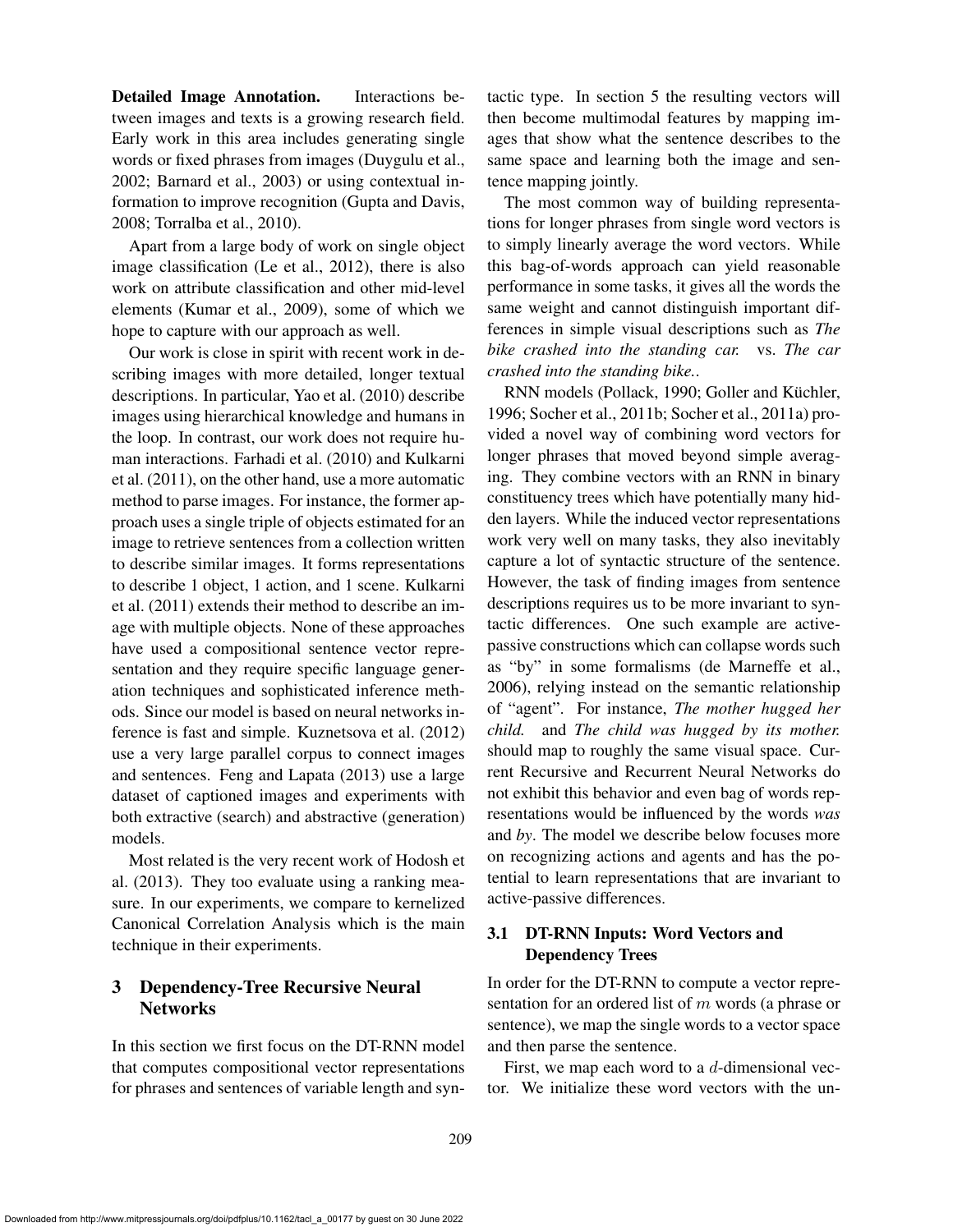Detailed Image Annotation. Interactions between images and texts is a growing research field. Early work in this area includes generating single words or fixed phrases from images (Duygulu et al., 2002; Barnard et al., 2003) or using contextual information to improve recognition (Gupta and Davis, 2008; Torralba et al., 2010).

Apart from a large body of work on single object image classification (Le et al., 2012), there is also work on attribute classification and other mid-level elements (Kumar et al., 2009), some of which we hope to capture with our approach as well.

Our work is close in spirit with recent work in describing images with more detailed, longer textual descriptions. In particular, Yao et al. (2010) describe images using hierarchical knowledge and humans in the loop. In contrast, our work does not require human interactions. Farhadi et al. (2010) and Kulkarni et al. (2011), on the other hand, use a more automatic method to parse images. For instance, the former approach uses a single triple of objects estimated for an image to retrieve sentences from a collection written to describe similar images. It forms representations to describe 1 object, 1 action, and 1 scene. Kulkarni et al. (2011) extends their method to describe an image with multiple objects. None of these approaches have used a compositional sentence vector representation and they require specific language generation techniques and sophisticated inference methods. Since our model is based on neural networks inference is fast and simple. Kuznetsova et al. (2012) use a very large parallel corpus to connect images and sentences. Feng and Lapata (2013) use a large dataset of captioned images and experiments with both extractive (search) and abstractive (generation) models.

Most related is the very recent work of Hodosh et al. (2013). They too evaluate using a ranking measure. In our experiments, we compare to kernelized Canonical Correlation Analysis which is the main technique in their experiments.

# 3 Dependency-Tree Recursive Neural **Networks**

In this section we first focus on the DT-RNN model that computes compositional vector representations for phrases and sentences of variable length and syntactic type. In section 5 the resulting vectors will then become multimodal features by mapping images that show what the sentence describes to the same space and learning both the image and sentence mapping jointly.

The most common way of building representations for longer phrases from single word vectors is to simply linearly average the word vectors. While this bag-of-words approach can yield reasonable performance in some tasks, it gives all the words the same weight and cannot distinguish important differences in simple visual descriptions such as *The bike crashed into the standing car.* vs. *The car crashed into the standing bike.*.

RNN models (Pollack, 1990; Goller and Küchler, 1996; Socher et al., 2011b; Socher et al., 2011a) provided a novel way of combining word vectors for longer phrases that moved beyond simple averaging. They combine vectors with an RNN in binary constituency trees which have potentially many hidden layers. While the induced vector representations work very well on many tasks, they also inevitably capture a lot of syntactic structure of the sentence. However, the task of finding images from sentence descriptions requires us to be more invariant to syntactic differences. One such example are activepassive constructions which can collapse words such as "by" in some formalisms (de Marneffe et al., 2006), relying instead on the semantic relationship of "agent". For instance, *The mother hugged her child.* and *The child was hugged by its mother.* should map to roughly the same visual space. Current Recursive and Recurrent Neural Networks do not exhibit this behavior and even bag of words representations would be influenced by the words *was* and *by*. The model we describe below focuses more on recognizing actions and agents and has the potential to learn representations that are invariant to active-passive differences.

# 3.1 DT-RNN Inputs: Word Vectors and Dependency Trees

In order for the DT-RNN to compute a vector representation for an ordered list of m words (a phrase or sentence), we map the single words to a vector space and then parse the sentence.

First, we map each word to a d-dimensional vector. We initialize these word vectors with the un-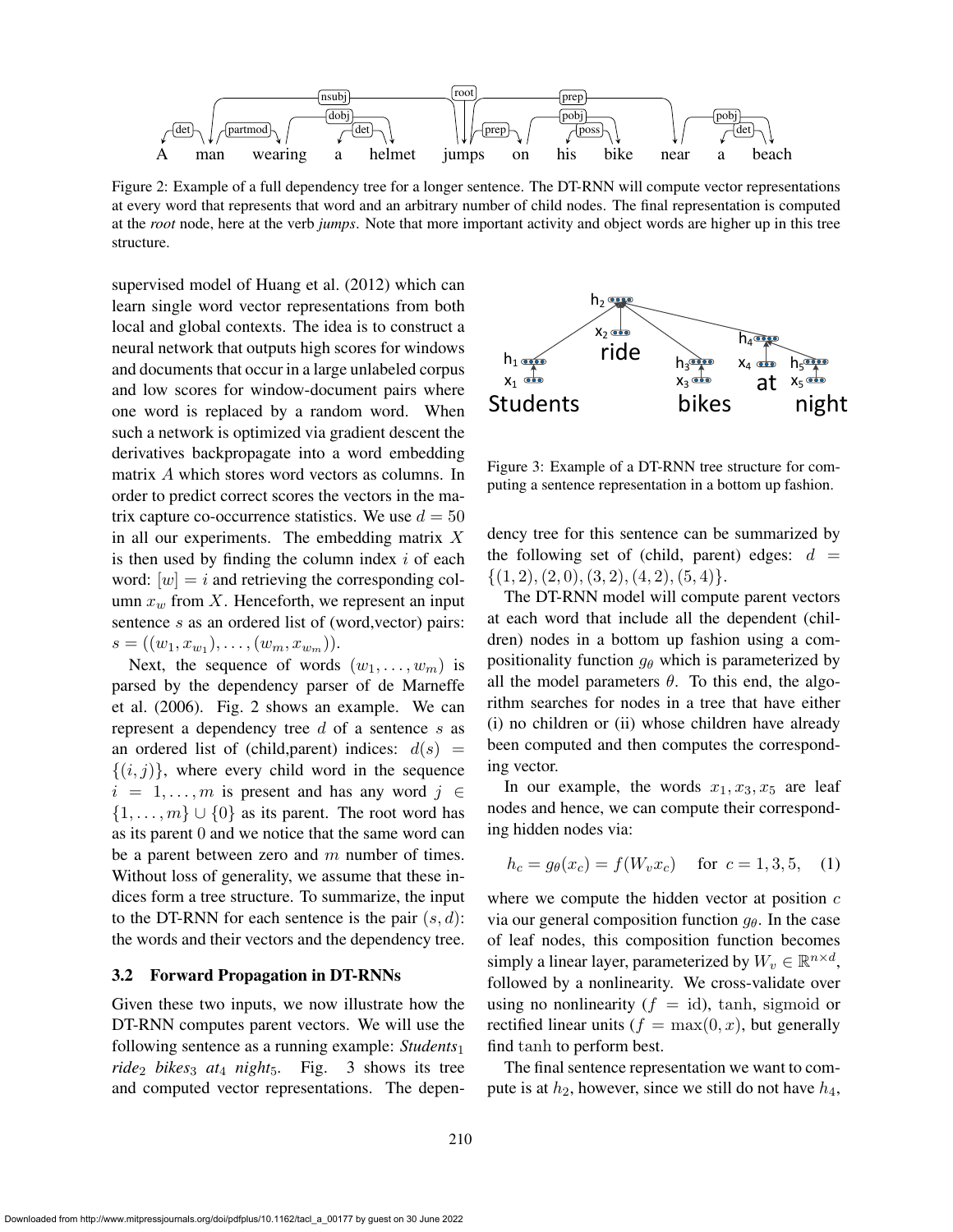

Figure 2: Example of a full dependency tree for a longer sentence. The DT-RNN will compute vector representations at every word that represents that word and an arbitrary number of child nodes. The final representation is computed at the *root* node, here at the verb *jumps*. Note that more important activity and object words are higher up in this tree structure.

supervised model of Huang et al. (2012) which can learn single word vector representations from both local and global contexts. The idea is to construct a neural network that outputs high scores for windows and documents that occur in a large unlabeled corpus and low scores for window-document pairs where one word is replaced by a random word. When such a network is optimized via gradient descent the derivatives backpropagate into a word embedding matrix A which stores word vectors as columns. In order to predict correct scores the vectors in the matrix capture co-occurrence statistics. We use  $d = 50$ in all our experiments. The embedding matrix  $X$ is then used by finding the column index  $i$  of each word:  $[w] = i$  and retrieving the corresponding column  $x_w$  from X. Henceforth, we represent an input sentence s as an ordered list of (word, vector) pairs:  $s = ((w_1, x_{w_1}), \ldots, (w_m, x_{w_m})).$ 

Next, the sequence of words  $(w_1, \ldots, w_m)$  is parsed by the dependency parser of de Marneffe et al. (2006). Fig. 2 shows an example. We can represent a dependency tree d of a sentence s as an ordered list of (child, parent) indices:  $d(s)$  =  $\{(i, j)\}\$ , where every child word in the sequence  $i = 1, \ldots, m$  is present and has any word  $j \in$  $\{1, \ldots, m\} \cup \{0\}$  as its parent. The root word has as its parent 0 and we notice that the same word can be a parent between zero and  $m$  number of times. Without loss of generality, we assume that these indices form a tree structure. To summarize, the input to the DT-RNN for each sentence is the pair  $(s, d)$ : the words and their vectors and the dependency tree.

#### 3.2 Forward Propagation in DT-RNNs

Given these two inputs, we now illustrate how the DT-RNN computes parent vectors. We will use the following sentence as a running example: *Students*<sup>1</sup> *ride*<sup>2</sup> *bikes*<sup>3</sup> *at*<sup>4</sup> *night*5*.* Fig. 3 shows its tree and computed vector representations. The depen-



Figure 3: Example of a DT-RNN tree structure for computing a sentence representation in a bottom up fashion.

dency tree for this sentence can be summarized by the following set of (child, parent) edges:  $d =$  $\{(1, 2), (2, 0), (3, 2), (4, 2), (5, 4)\}.$ 

The DT-RNN model will compute parent vectors at each word that include all the dependent (children) nodes in a bottom up fashion using a compositionality function  $g_{\theta}$  which is parameterized by all the model parameters  $\theta$ . To this end, the algorithm searches for nodes in a tree that have either (i) no children or (ii) whose children have already been computed and then computes the corresponding vector.

In our example, the words  $x_1, x_3, x_5$  are leaf nodes and hence, we can compute their corresponding hidden nodes via:

$$
h_c = g_{\theta}(x_c) = f(W_v x_c) \quad \text{for } c = 1, 3, 5, \quad (1)
$$

where we compute the hidden vector at position  $c$ via our general composition function  $g_{\theta}$ . In the case of leaf nodes, this composition function becomes simply a linear layer, parameterized by  $W_v \in \mathbb{R}^{n \times d}$ , followed by a nonlinearity. We cross-validate over using no nonlinearity  $(f = id)$ , tanh, sigmoid or rectified linear units ( $f = \max(0, x)$ , but generally find tanh to perform best.

The final sentence representation we want to compute is at  $h_2$ , however, since we still do not have  $h_4$ ,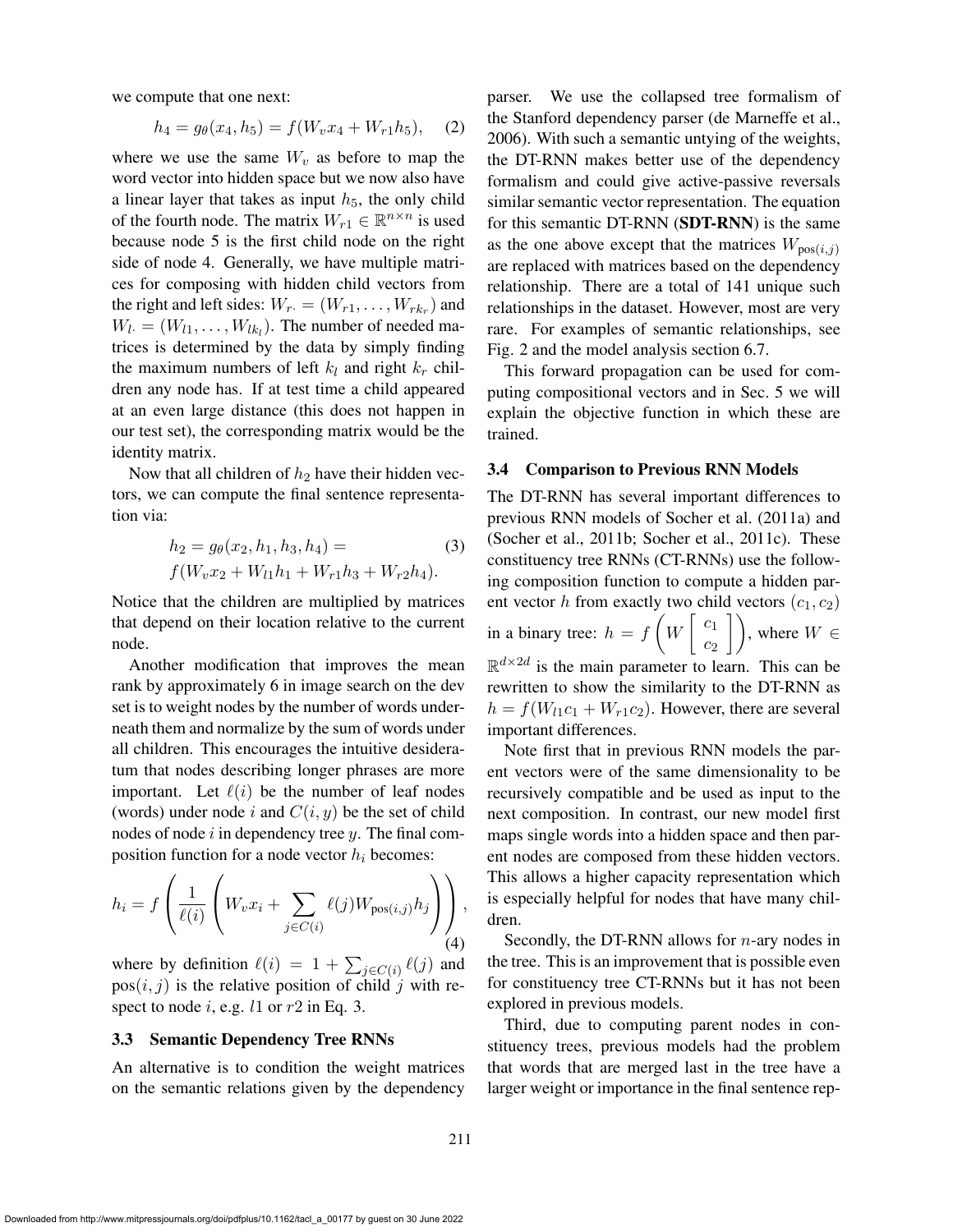we compute that one next:

$$
h_4 = g_\theta(x_4, h_5) = f(W_v x_4 + W_{r1} h_5), \quad (2)
$$

where we use the same  $W_v$  as before to map the word vector into hidden space but we now also have a linear layer that takes as input  $h_5$ , the only child of the fourth node. The matrix  $W_{r1} \in \mathbb{R}^{n \times n}$  is used because node 5 is the first child node on the right side of node 4. Generally, we have multiple matrices for composing with hidden child vectors from the right and left sides:  $W_r = (W_{r1}, \ldots, W_{rk_r})$  and  $W_{l} = (W_{l1}, \ldots, W_{lk_l})$ . The number of needed matrices is determined by the data by simply finding the maximum numbers of left  $k_l$  and right  $k_r$  children any node has. If at test time a child appeared at an even large distance (this does not happen in our test set), the corresponding matrix would be the identity matrix.

Now that all children of  $h_2$  have their hidden vectors, we can compute the final sentence representation via:

$$
h_2 = g_{\theta}(x_2, h_1, h_3, h_4) =
$$
  

$$
f(W_v x_2 + W_{l1}h_1 + W_{r1}h_3 + W_{r2}h_4).
$$
 (3)

Notice that the children are multiplied by matrices that depend on their location relative to the current node.

Another modification that improves the mean rank by approximately 6 in image search on the dev set is to weight nodes by the number of words underneath them and normalize by the sum of words under all children. This encourages the intuitive desideratum that nodes describing longer phrases are more important. Let  $\ell(i)$  be the number of leaf nodes (words) under node i and  $C(i, y)$  be the set of child nodes of node  $i$  in dependency tree  $y$ . The final composition function for a node vector  $h_i$  becomes:

$$
h_i = f\left(\frac{1}{\ell(i)} \left(W_v x_i + \sum_{j \in C(i)} \ell(j) W_{\text{pos}(i,j)} h_j\right)\right),\tag{4}
$$

where by definition  $\ell(i) = 1 + \sum_{j \in C(i)} \ell(j)$  and  $pos(i, j)$  is the relative position of child j with respect to node i, e.g.  $l1$  or  $r2$  in Eq. 3.

#### 3.3 Semantic Dependency Tree RNNs

An alternative is to condition the weight matrices on the semantic relations given by the dependency parser. We use the collapsed tree formalism of the Stanford dependency parser (de Marneffe et al., 2006). With such a semantic untying of the weights, the DT-RNN makes better use of the dependency formalism and could give active-passive reversals similar semantic vector representation. The equation for this semantic DT-RNN (SDT-RNN) is the same as the one above except that the matrices  $W_{\text{pos}(i,j)}$ are replaced with matrices based on the dependency relationship. There are a total of 141 unique such relationships in the dataset. However, most are very rare. For examples of semantic relationships, see Fig. 2 and the model analysis section 6.7.

This forward propagation can be used for computing compositional vectors and in Sec. 5 we will explain the objective function in which these are trained.

#### 3.4 Comparison to Previous RNN Models

The DT-RNN has several important differences to previous RNN models of Socher et al. (2011a) and (Socher et al., 2011b; Socher et al., 2011c). These constituency tree RNNs (CT-RNNs) use the following composition function to compute a hidden parent vector h from exactly two child vectors  $(c_1, c_2)$ in a binary tree:  $h = f$  $\frac{1}{2}$ W  $\lceil c_1 \rceil$  $\begin{pmatrix} c_1 \\ c_2 \end{pmatrix}$ , where  $W \in$  $\mathbb{R}^{d \times 2d}$  is the main parameter to learn. This can be rewritten to show the similarity to the DT-RNN as  $h = f(W_{11}c_1 + W_{r1}c_2)$ . However, there are several important differences.

Note first that in previous RNN models the parent vectors were of the same dimensionality to be recursively compatible and be used as input to the next composition. In contrast, our new model first maps single words into a hidden space and then parent nodes are composed from these hidden vectors. This allows a higher capacity representation which is especially helpful for nodes that have many children.

Secondly, the DT-RNN allows for  $n$ -ary nodes in the tree. This is an improvement that is possible even for constituency tree CT-RNNs but it has not been explored in previous models.

Third, due to computing parent nodes in constituency trees, previous models had the problem that words that are merged last in the tree have a larger weight or importance in the final sentence rep-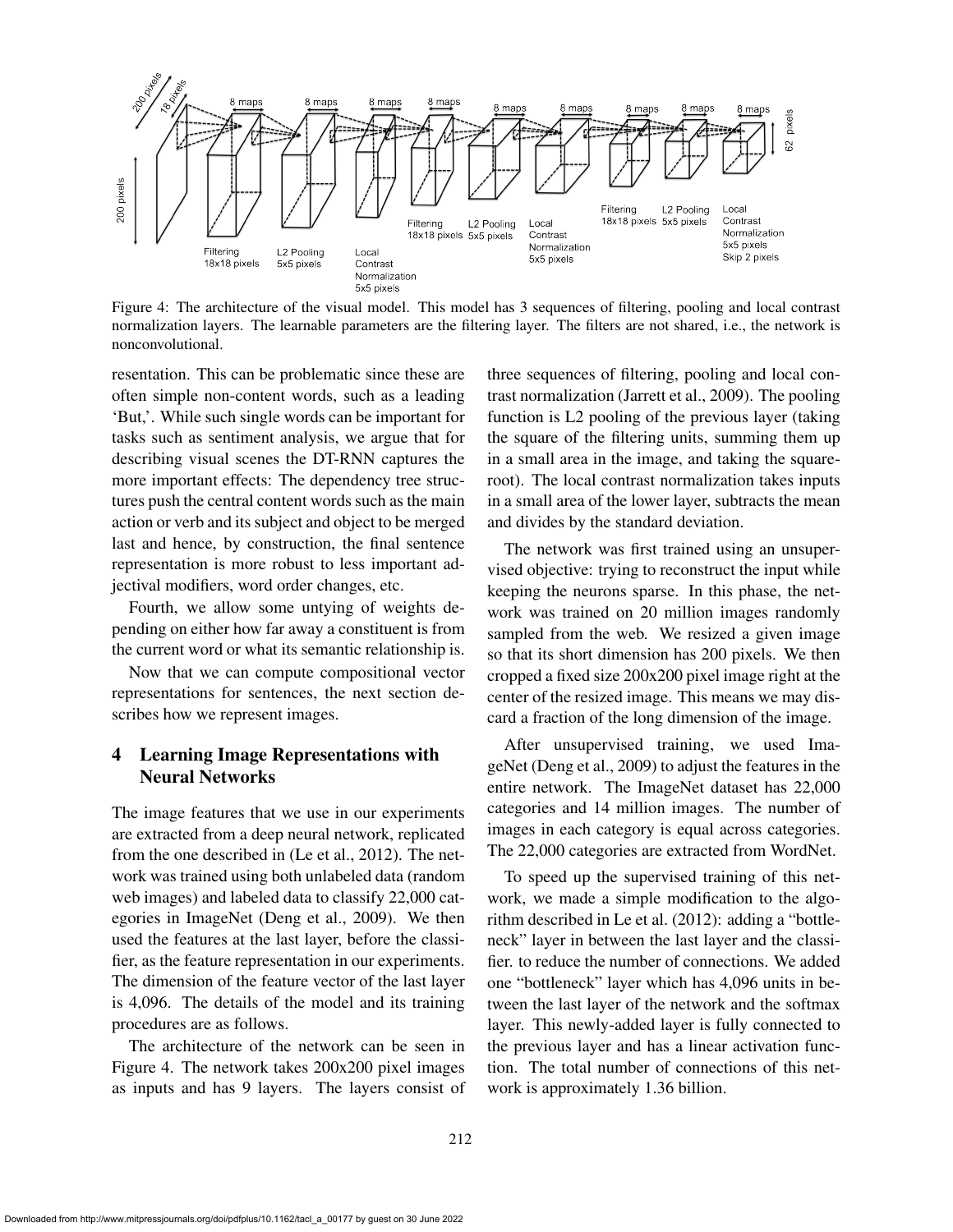

Figure 4: The architecture of the visual model. This model has 3 sequences of filtering, pooling and local contrast normalization layers. The learnable parameters are the filtering layer. The filters are not shared, i.e., the network is nonconvolutional.

resentation. This can be problematic since these are often simple non-content words, such as a leading 'But,'. While such single words can be important for tasks such as sentiment analysis, we argue that for describing visual scenes the DT-RNN captures the more important effects: The dependency tree structures push the central content words such as the main action or verb and its subject and object to be merged last and hence, by construction, the final sentence representation is more robust to less important adjectival modifiers, word order changes, etc.

Fourth, we allow some untying of weights depending on either how far away a constituent is from the current word or what its semantic relationship is.

Now that we can compute compositional vector representations for sentences, the next section describes how we represent images.

# 4 Learning Image Representations with Neural Networks

The image features that we use in our experiments are extracted from a deep neural network, replicated from the one described in (Le et al., 2012). The network was trained using both unlabeled data (random web images) and labeled data to classify 22,000 categories in ImageNet (Deng et al., 2009). We then used the features at the last layer, before the classifier, as the feature representation in our experiments. The dimension of the feature vector of the last layer is 4,096. The details of the model and its training procedures are as follows.

The architecture of the network can be seen in Figure 4. The network takes 200x200 pixel images as inputs and has 9 layers. The layers consist of three sequences of filtering, pooling and local contrast normalization (Jarrett et al., 2009). The pooling function is L2 pooling of the previous layer (taking the square of the filtering units, summing them up in a small area in the image, and taking the squareroot). The local contrast normalization takes inputs in a small area of the lower layer, subtracts the mean and divides by the standard deviation.

The network was first trained using an unsupervised objective: trying to reconstruct the input while keeping the neurons sparse. In this phase, the network was trained on 20 million images randomly sampled from the web. We resized a given image so that its short dimension has 200 pixels. We then cropped a fixed size 200x200 pixel image right at the center of the resized image. This means we may discard a fraction of the long dimension of the image.

After unsupervised training, we used ImageNet (Deng et al., 2009) to adjust the features in the entire network. The ImageNet dataset has 22,000 categories and 14 million images. The number of images in each category is equal across categories. The 22,000 categories are extracted from WordNet.

To speed up the supervised training of this network, we made a simple modification to the algorithm described in Le et al. (2012): adding a "bottleneck" layer in between the last layer and the classifier. to reduce the number of connections. We added one "bottleneck" layer which has 4,096 units in between the last layer of the network and the softmax layer. This newly-added layer is fully connected to the previous layer and has a linear activation function. The total number of connections of this network is approximately 1.36 billion.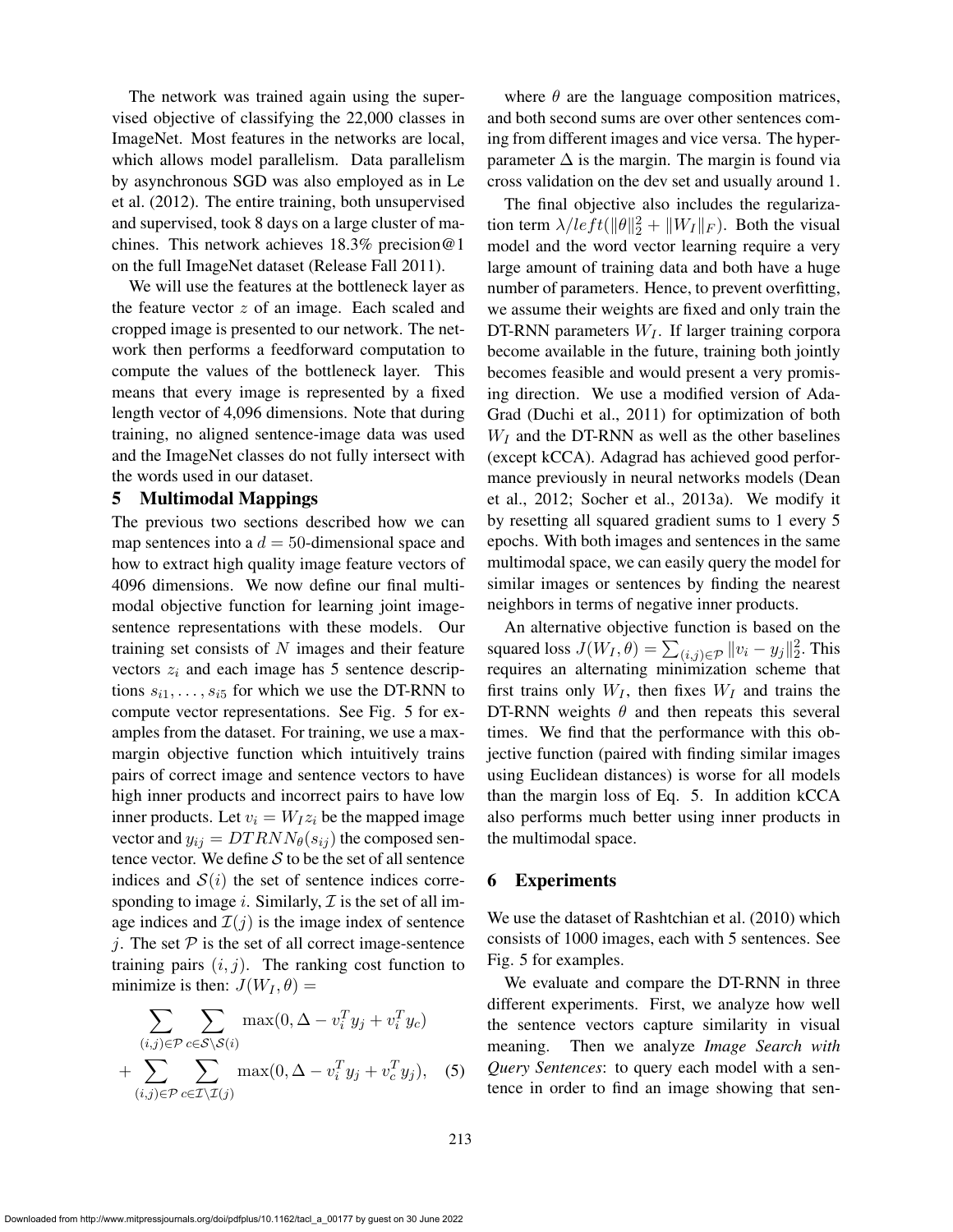The network was trained again using the supervised objective of classifying the 22,000 classes in ImageNet. Most features in the networks are local, which allows model parallelism. Data parallelism by asynchronous SGD was also employed as in Le et al. (2012). The entire training, both unsupervised and supervised, took 8 days on a large cluster of machines. This network achieves 18.3% precision@1 on the full ImageNet dataset (Release Fall 2011).

We will use the features at the bottleneck layer as the feature vector  $z$  of an image. Each scaled and cropped image is presented to our network. The network then performs a feedforward computation to compute the values of the bottleneck layer. This means that every image is represented by a fixed length vector of 4,096 dimensions. Note that during training, no aligned sentence-image data was used and the ImageNet classes do not fully intersect with the words used in our dataset.

#### 5 Multimodal Mappings

The previous two sections described how we can map sentences into a  $d = 50$ -dimensional space and how to extract high quality image feature vectors of 4096 dimensions. We now define our final multimodal objective function for learning joint imagesentence representations with these models. Our training set consists of  $N$  images and their feature vectors  $z_i$  and each image has 5 sentence descriptions  $s_{i1}, \ldots, s_{i5}$  for which we use the DT-RNN to compute vector representations. See Fig. 5 for examples from the dataset. For training, we use a maxmargin objective function which intuitively trains pairs of correct image and sentence vectors to have high inner products and incorrect pairs to have low inner products. Let  $v_i = W_I z_i$  be the mapped image vector and  $y_{ij} = DTRNN_{\theta}(s_{ij})$  the composed sentence vector. We define  $S$  to be the set of all sentence indices and  $S(i)$  the set of sentence indices corresponding to image i. Similarly,  $\mathcal I$  is the set of all image indices and  $\mathcal{I}(j)$  is the image index of sentence j. The set  $P$  is the set of all correct image-sentence training pairs  $(i, j)$ . The ranking cost function to minimize is then:  $J(W_I, \theta) =$ 

$$
\sum_{(i,j)\in\mathcal{P}} \sum_{c\in\mathcal{S}\backslash\mathcal{S}(i)} \max(0, \Delta - v_i^T y_j + v_i^T y_c)
$$
  
+ 
$$
\sum_{(i,j)\in\mathcal{P}} \sum_{c\in\mathcal{I}\backslash\mathcal{I}(j)} \max(0, \Delta - v_i^T y_j + v_c^T y_j),
$$
 (5)

where  $\theta$  are the language composition matrices, and both second sums are over other sentences coming from different images and vice versa. The hyperparameter  $\Delta$  is the margin. The margin is found via cross validation on the dev set and usually around 1.

The final objective also includes the regularization term  $\lambda/left(||\theta||_2^2 + ||W_I||_F)$ . Both the visual model and the word vector learning require a very large amount of training data and both have a huge number of parameters. Hence, to prevent overfitting, we assume their weights are fixed and only train the DT-RNN parameters  $W_I$ . If larger training corpora become available in the future, training both jointly becomes feasible and would present a very promising direction. We use a modified version of Ada-Grad (Duchi et al., 2011) for optimization of both  $W_I$  and the DT-RNN as well as the other baselines (except kCCA). Adagrad has achieved good performance previously in neural networks models (Dean et al., 2012; Socher et al., 2013a). We modify it by resetting all squared gradient sums to 1 every 5 epochs. With both images and sentences in the same multimodal space, we can easily query the model for similar images or sentences by finding the nearest neighbors in terms of negative inner products.

An alternative objective function is based on the squared loss  $J(W_I, \theta) = \sum_{(i,j) \in \mathcal{P}} ||v_i - y_j||_2^2$ . This requires an alternating minimization scheme that first trains only  $W_I$ , then fixes  $W_I$  and trains the DT-RNN weights  $\theta$  and then repeats this several times. We find that the performance with this objective function (paired with finding similar images using Euclidean distances) is worse for all models than the margin loss of Eq. 5. In addition kCCA also performs much better using inner products in the multimodal space.

#### 6 Experiments

We use the dataset of Rashtchian et al. (2010) which consists of 1000 images, each with 5 sentences. See Fig. 5 for examples.

We evaluate and compare the DT-RNN in three different experiments. First, we analyze how well the sentence vectors capture similarity in visual meaning. Then we analyze *Image Search with Query Sentences*: to query each model with a sentence in order to find an image showing that sen-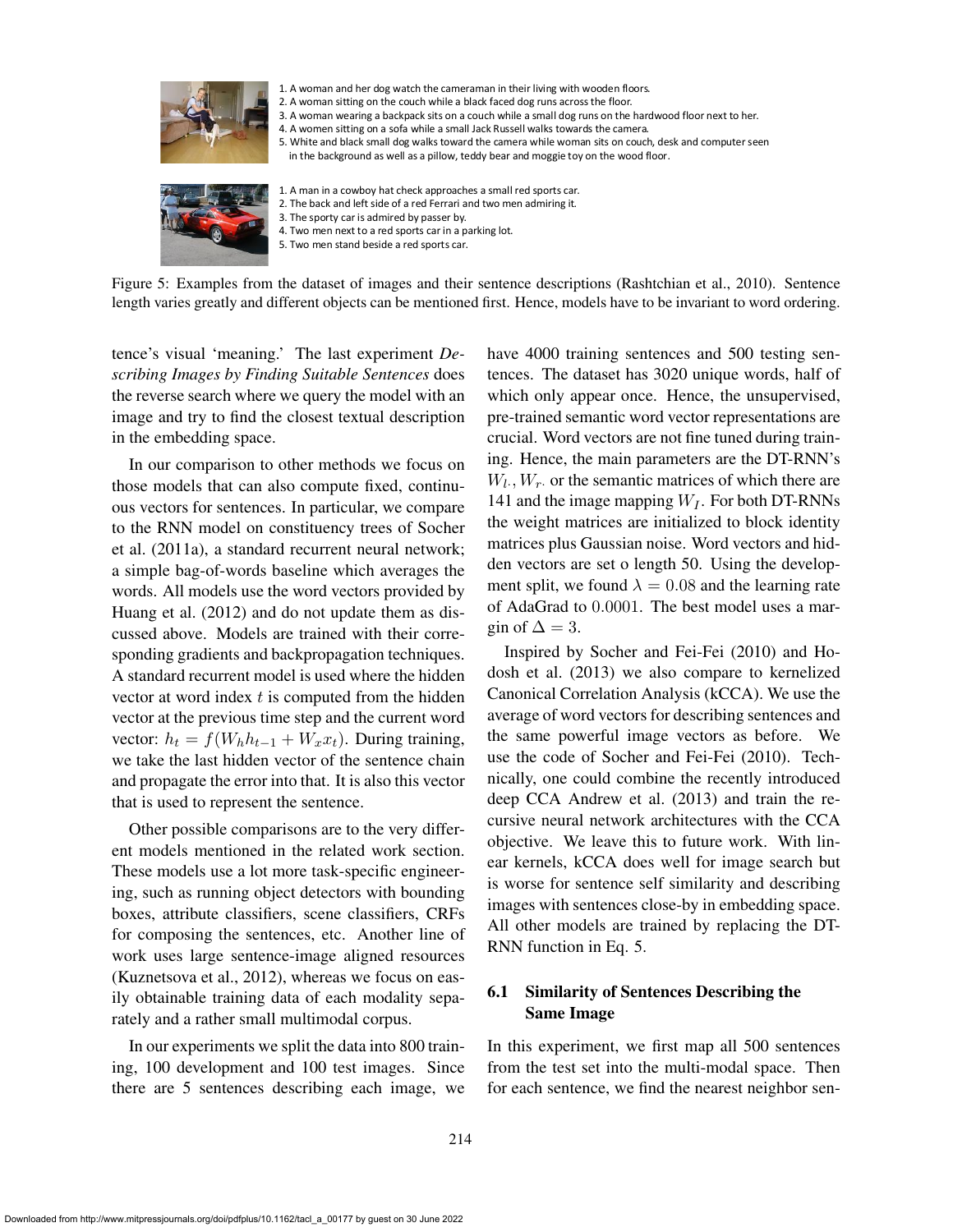

1. A woman and her dog watch the cameraman in their living with wooden floors.

2. A woman sitting on the couch while a black faced dog runs across the floor.

3. A woman wearing a backpack sits on a couch while a small dog runs on the hardwood floor next to her.

4. A women sitting on a sofa while a small Jack Russell walks towards the camera.

5. White and black small dog walks toward the camera while woman sits on couch, desk and computer seen

in the background as well as a pillow, teddy bear and moggie toy on the wood floor.



1. A man in a cowboy hat check approaches a small red sports car. 2. The back and left side of a red Ferrari and two men admiring it. 3. The sporty car is admired by passer by. 4. Two men next to a red sports car in a parking lot.

5. Two men stand beside a red sports car.

Figure 5: Examples from the dataset of images and their sentence descriptions (Rashtchian et al., 2010). Sentence length varies greatly and different objects can be mentioned first. Hence, models have to be invariant to word ordering.

tence's visual 'meaning.' The last experiment *Describing Images by Finding Suitable Sentences* does the reverse search where we query the model with an image and try to find the closest textual description in the embedding space.

In our comparison to other methods we focus on those models that can also compute fixed, continuous vectors for sentences. In particular, we compare to the RNN model on constituency trees of Socher et al. (2011a), a standard recurrent neural network; a simple bag-of-words baseline which averages the words. All models use the word vectors provided by Huang et al. (2012) and do not update them as discussed above. Models are trained with their corresponding gradients and backpropagation techniques. A standard recurrent model is used where the hidden vector at word index  $t$  is computed from the hidden vector at the previous time step and the current word vector:  $h_t = f(W_h h_{t-1} + W_x x_t)$ . During training, we take the last hidden vector of the sentence chain and propagate the error into that. It is also this vector that is used to represent the sentence.

Other possible comparisons are to the very different models mentioned in the related work section. These models use a lot more task-specific engineering, such as running object detectors with bounding boxes, attribute classifiers, scene classifiers, CRFs for composing the sentences, etc. Another line of work uses large sentence-image aligned resources (Kuznetsova et al., 2012), whereas we focus on easily obtainable training data of each modality separately and a rather small multimodal corpus.

In our experiments we split the data into 800 training, 100 development and 100 test images. Since there are 5 sentences describing each image, we have 4000 training sentences and 500 testing sentences. The dataset has 3020 unique words, half of which only appear once. Hence, the unsupervised, pre-trained semantic word vector representations are crucial. Word vectors are not fine tuned during training. Hence, the main parameters are the DT-RNN's  $W_l$ ,  $W_r$  or the semantic matrices of which there are 141 and the image mapping  $W_I$ . For both DT-RNNs the weight matrices are initialized to block identity matrices plus Gaussian noise. Word vectors and hidden vectors are set o length 50. Using the development split, we found  $\lambda = 0.08$  and the learning rate of AdaGrad to 0.0001. The best model uses a margin of  $\Delta = 3$ .

Inspired by Socher and Fei-Fei (2010) and Hodosh et al. (2013) we also compare to kernelized Canonical Correlation Analysis (kCCA). We use the average of word vectors for describing sentences and the same powerful image vectors as before. We use the code of Socher and Fei-Fei (2010). Technically, one could combine the recently introduced deep CCA Andrew et al. (2013) and train the recursive neural network architectures with the CCA objective. We leave this to future work. With linear kernels, kCCA does well for image search but is worse for sentence self similarity and describing images with sentences close-by in embedding space. All other models are trained by replacing the DT-RNN function in Eq. 5.

# 6.1 Similarity of Sentences Describing the Same Image

In this experiment, we first map all 500 sentences from the test set into the multi-modal space. Then for each sentence, we find the nearest neighbor sen-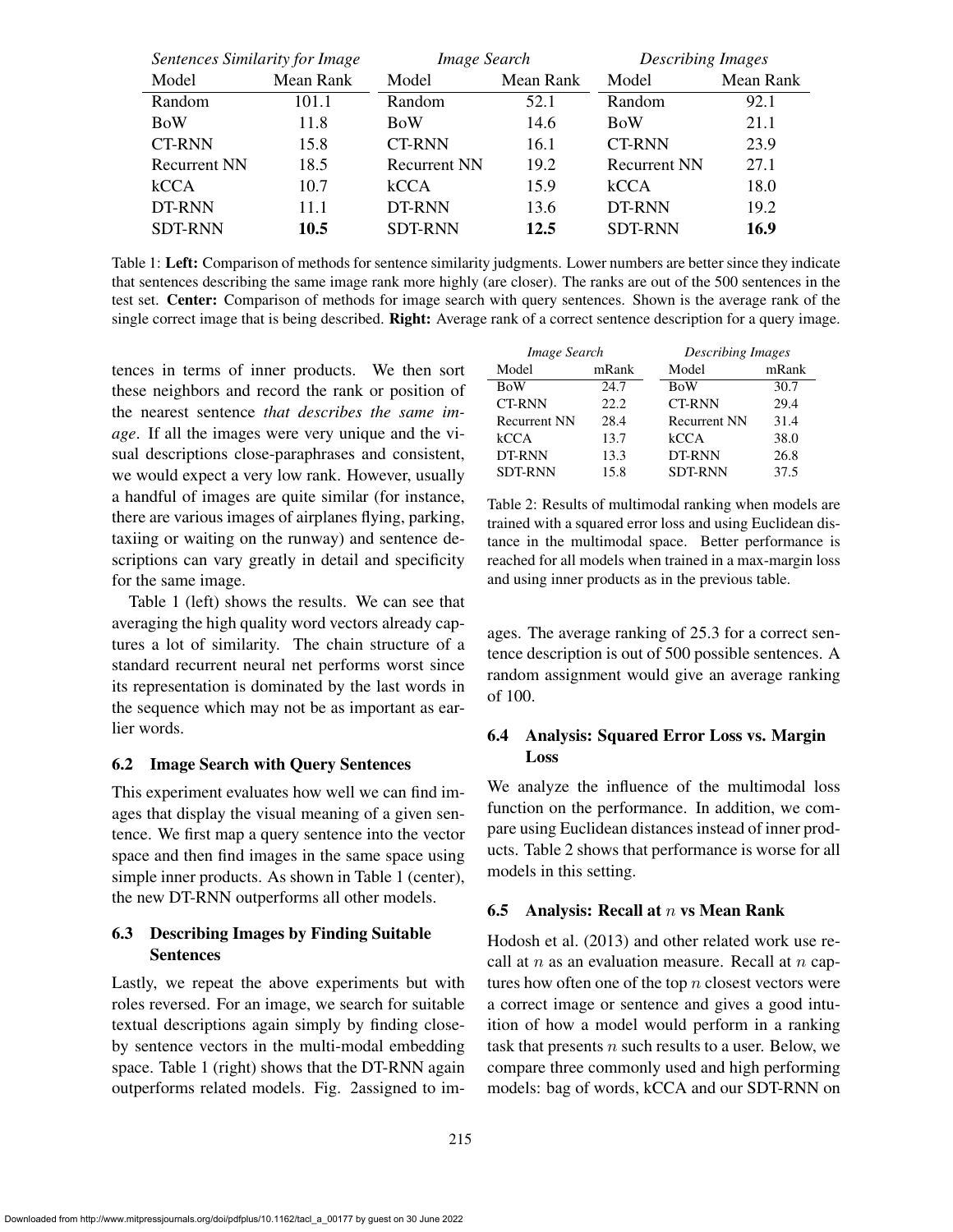| Sentences Similarity for Image |           | Image Search        |           | <b>Describing Images</b> |           |
|--------------------------------|-----------|---------------------|-----------|--------------------------|-----------|
| Model                          | Mean Rank | Model               | Mean Rank | Model                    | Mean Rank |
| Random                         | 101.1     | Random              | 52.1      | Random                   | 92.1      |
| <b>BoW</b>                     | 11.8      | <b>BoW</b>          | 14.6      | <b>BoW</b>               | 21.1      |
| <b>CT-RNN</b>                  | 15.8      | <b>CT-RNN</b>       | 16.1      | <b>CT-RNN</b>            | 23.9      |
| <b>Recurrent NN</b>            | 18.5      | <b>Recurrent NN</b> | 19.2      | <b>Recurrent NN</b>      | 27.1      |
| kCCA                           | 10.7      | kCCA                | 15.9      | kCCA                     | 18.0      |
| DT-RNN                         | 11.1      | DT-RNN              | 13.6      | DT-RNN                   | 19.2      |
| <b>SDT-RNN</b>                 | 10.5      | <b>SDT-RNN</b>      | 12.5      | <b>SDT-RNN</b>           | 16.9      |

Table 1: Left: Comparison of methods for sentence similarity judgments. Lower numbers are better since they indicate that sentences describing the same image rank more highly (are closer). The ranks are out of the 500 sentences in the test set. Center: Comparison of methods for image search with query sentences. Shown is the average rank of the single correct image that is being described. Right: Average rank of a correct sentence description for a query image.

tences in terms of inner products. We then sort these neighbors and record the rank or position of the nearest sentence *that describes the same image*. If all the images were very unique and the visual descriptions close-paraphrases and consistent, we would expect a very low rank. However, usually a handful of images are quite similar (for instance, there are various images of airplanes flying, parking, taxiing or waiting on the runway) and sentence descriptions can vary greatly in detail and specificity for the same image.

Table 1 (left) shows the results. We can see that averaging the high quality word vectors already captures a lot of similarity. The chain structure of a standard recurrent neural net performs worst since its representation is dominated by the last words in the sequence which may not be as important as earlier words.

#### 6.2 Image Search with Query Sentences

This experiment evaluates how well we can find images that display the visual meaning of a given sentence. We first map a query sentence into the vector space and then find images in the same space using simple inner products. As shown in Table 1 (center), the new DT-RNN outperforms all other models.

# 6.3 Describing Images by Finding Suitable Sentences

Lastly, we repeat the above experiments but with roles reversed. For an image, we search for suitable textual descriptions again simply by finding closeby sentence vectors in the multi-modal embedding space. Table 1 (right) shows that the DT-RNN again outperforms related models. Fig. 2assigned to im-

| Image Search        |       | <b>Describing Images</b> |       |  |
|---------------------|-------|--------------------------|-------|--|
| Model               | mRank | Model                    | mRank |  |
| <b>BoW</b>          | 24.7  | <b>BoW</b>               | 30.7  |  |
| <b>CT-RNN</b>       | 22.2. | <b>CT-RNN</b>            | 29.4  |  |
| <b>Recurrent NN</b> | 28.4  | <b>Recurrent NN</b>      | 31.4  |  |
| kCCA                | 13.7  | kCCA                     | 38.0  |  |
| DT-RNN              | 13.3  | DT-RNN                   | 26.8  |  |
| <b>SDT-RNN</b>      | 15.8  | <b>SDT-RNN</b>           | 37.5  |  |

Table 2: Results of multimodal ranking when models are trained with a squared error loss and using Euclidean distance in the multimodal space. Better performance is reached for all models when trained in a max-margin loss and using inner products as in the previous table.

ages. The average ranking of 25.3 for a correct sentence description is out of 500 possible sentences. A random assignment would give an average ranking of 100.

# 6.4 Analysis: Squared Error Loss vs. Margin Loss

We analyze the influence of the multimodal loss function on the performance. In addition, we compare using Euclidean distances instead of inner products. Table 2 shows that performance is worse for all models in this setting.

#### 6.5 Analysis: Recall at  $n$  vs Mean Rank

Hodosh et al. (2013) and other related work use recall at  $n$  as an evaluation measure. Recall at  $n$  captures how often one of the top  $n$  closest vectors were a correct image or sentence and gives a good intuition of how a model would perform in a ranking task that presents  $n$  such results to a user. Below, we compare three commonly used and high performing models: bag of words, kCCA and our SDT-RNN on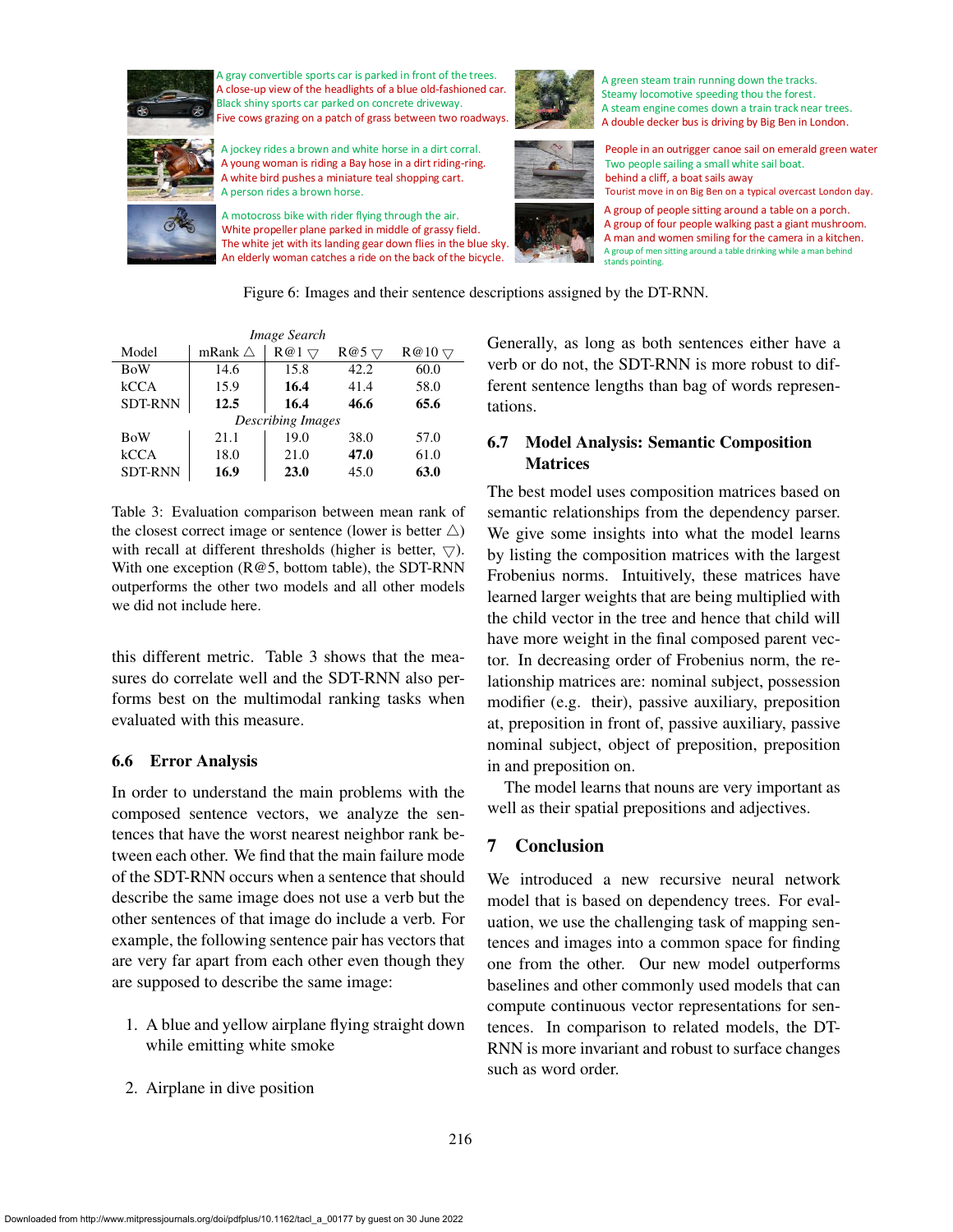

gray convertible sports car is parked in front of the trees. A close-up view of the headlights of a blue old-fashioned car. Black shiny sports car parked on concrete driveway. Five cows grazing on a patch of grass between two roadways.

A jockey rides a brown and white horse in a dirt corral. A young woman is riding a Bay hose in a dirt riding-ring. A white bird pushes a miniature teal shopping cart. A person rides a brown horse.

A motocross bike with rider flying through the air. White propeller plane parked in middle of grassy field. The white jet with its landing gear down flies in the blue sky. An elderly woman catches a ride on the back of the bicycle.



A green steam train running down the tracks. Steamy locomotive speeding thou the forest. A steam engine comes down a train track near trees. A double decker bus is driving by Big Ben in London.



People in an outrigger canoe sail on emerald green water. Two people sailing a small white sail boat. behind a cliff, a boat sails away

Tourist move in on Big Ben on a typical overcast London day.

A group of people sitting around a table on a porch. A group of four people walking past a giant mushroom. A man and women smiling for the camera in a kitchen. A group of men sitting around a table drinking while a man behind stands pointing.

Figure 6: Images and their sentence descriptions assigned by the DT-RNN.

| Image Search             |                   |      |                |               |  |  |  |  |
|--------------------------|-------------------|------|----------------|---------------|--|--|--|--|
| Model                    | mRank $\triangle$ | R@1  | $R@5$ $\nabla$ | $R@10 \nabla$ |  |  |  |  |
| <b>BoW</b>               | 14.6              | 15.8 | 42.2           | 60.0          |  |  |  |  |
| kCCA                     | 15.9              | 16.4 | 41.4           | 58.0          |  |  |  |  |
| <b>SDT-RNN</b>           | 12.5              | 16.4 | 46.6           | 65.6          |  |  |  |  |
| <b>Describing Images</b> |                   |      |                |               |  |  |  |  |
| <b>BoW</b>               | 21.1              | 19.0 | 38.0           | 57.0          |  |  |  |  |
| kCCA                     | 18.0              | 21.0 | 47.0           | 61.0          |  |  |  |  |
| <b>SDT-RNN</b>           | 16.9              | 23.0 | 45.0           | 63.0          |  |  |  |  |

Table 3: Evaluation comparison between mean rank of the closest correct image or sentence (lower is better  $\triangle$ ) with recall at different thresholds (higher is better,  $\nabla$ ). With one exception (R@5, bottom table), the SDT-RNN outperforms the other two models and all other models we did not include here.

this different metric. Table 3 shows that the measures do correlate well and the SDT-RNN also performs best on the multimodal ranking tasks when evaluated with this measure.

# 6.6 Error Analysis

In order to understand the main problems with the composed sentence vectors, we analyze the sentences that have the worst nearest neighbor rank between each other. We find that the main failure mode of the SDT-RNN occurs when a sentence that should describe the same image does not use a verb but the other sentences of that image do include a verb. For example, the following sentence pair has vectors that are very far apart from each other even though they are supposed to describe the same image:

- 1. A blue and yellow airplane flying straight down while emitting white smoke
- 2. Airplane in dive position

Generally, as long as both sentences either have a verb or do not, the SDT-RNN is more robust to different sentence lengths than bag of words representations.

# 6.7 Model Analysis: Semantic Composition Matrices

The best model uses composition matrices based on semantic relationships from the dependency parser. We give some insights into what the model learns by listing the composition matrices with the largest Frobenius norms. Intuitively, these matrices have learned larger weights that are being multiplied with the child vector in the tree and hence that child will have more weight in the final composed parent vector. In decreasing order of Frobenius norm, the relationship matrices are: nominal subject, possession modifier (e.g. their), passive auxiliary, preposition at, preposition in front of, passive auxiliary, passive nominal subject, object of preposition, preposition in and preposition on.

The model learns that nouns are very important as well as their spatial prepositions and adjectives.

# 7 Conclusion

We introduced a new recursive neural network model that is based on dependency trees. For evaluation, we use the challenging task of mapping sentences and images into a common space for finding one from the other. Our new model outperforms baselines and other commonly used models that can compute continuous vector representations for sentences. In comparison to related models, the DT-RNN is more invariant and robust to surface changes such as word order.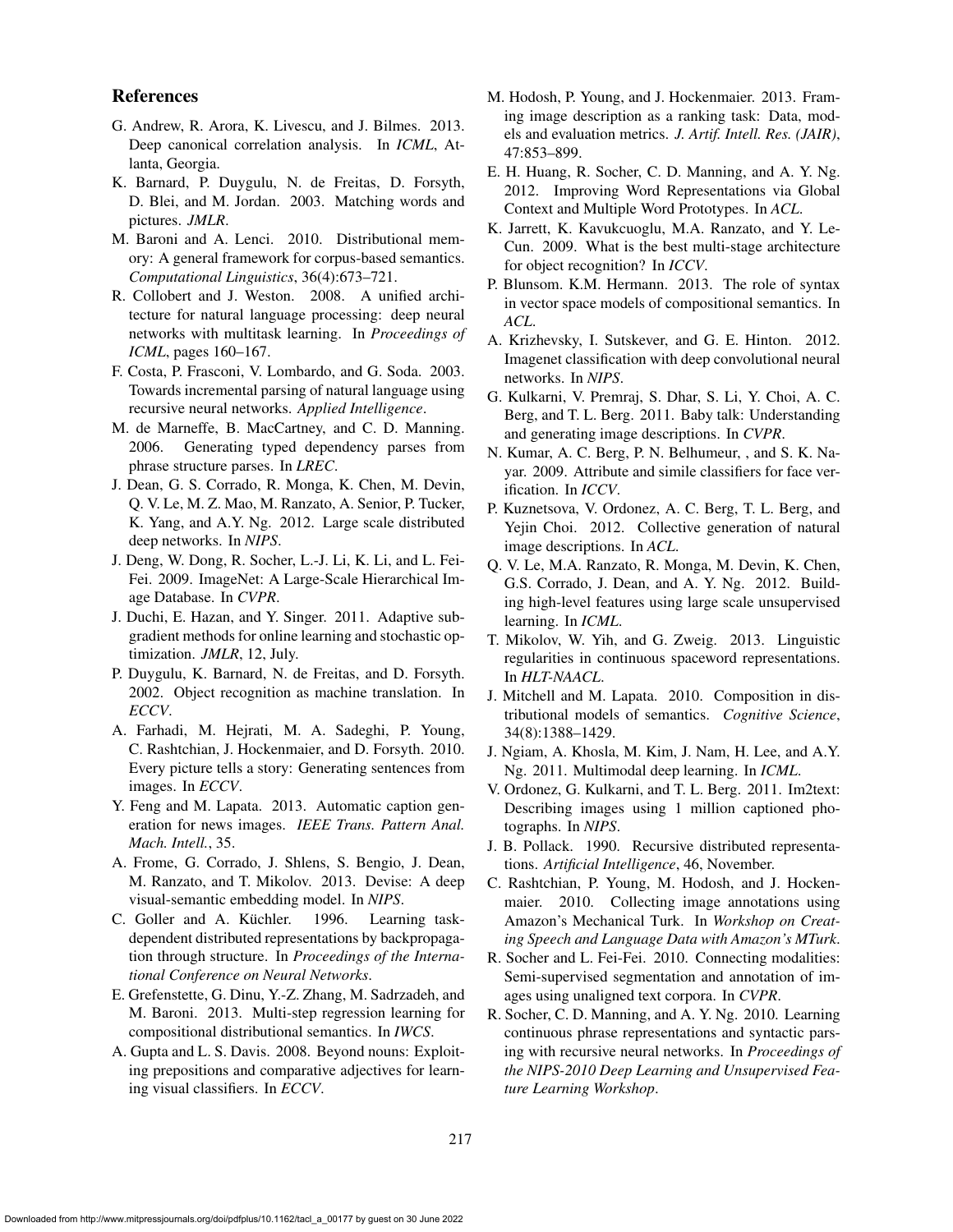#### References

- G. Andrew, R. Arora, K. Livescu, and J. Bilmes. 2013. Deep canonical correlation analysis. In *ICML*, Atlanta, Georgia.
- K. Barnard, P. Duygulu, N. de Freitas, D. Forsyth, D. Blei, and M. Jordan. 2003. Matching words and pictures. *JMLR*.
- M. Baroni and A. Lenci. 2010. Distributional memory: A general framework for corpus-based semantics. *Computational Linguistics*, 36(4):673–721.
- R. Collobert and J. Weston. 2008. A unified architecture for natural language processing: deep neural networks with multitask learning. In *Proceedings of ICML*, pages 160–167.
- F. Costa, P. Frasconi, V. Lombardo, and G. Soda. 2003. Towards incremental parsing of natural language using recursive neural networks. *Applied Intelligence*.
- M. de Marneffe, B. MacCartney, and C. D. Manning. 2006. Generating typed dependency parses from phrase structure parses. In *LREC*.
- J. Dean, G. S. Corrado, R. Monga, K. Chen, M. Devin, Q. V. Le, M. Z. Mao, M. Ranzato, A. Senior, P. Tucker, K. Yang, and A.Y. Ng. 2012. Large scale distributed deep networks. In *NIPS*.
- J. Deng, W. Dong, R. Socher, L.-J. Li, K. Li, and L. Fei-Fei. 2009. ImageNet: A Large-Scale Hierarchical Image Database. In *CVPR*.
- J. Duchi, E. Hazan, and Y. Singer. 2011. Adaptive subgradient methods for online learning and stochastic optimization. *JMLR*, 12, July.
- P. Duygulu, K. Barnard, N. de Freitas, and D. Forsyth. 2002. Object recognition as machine translation. In *ECCV*.
- A. Farhadi, M. Hejrati, M. A. Sadeghi, P. Young, C. Rashtchian, J. Hockenmaier, and D. Forsyth. 2010. Every picture tells a story: Generating sentences from images. In *ECCV*.
- Y. Feng and M. Lapata. 2013. Automatic caption generation for news images. *IEEE Trans. Pattern Anal. Mach. Intell.*, 35.
- A. Frome, G. Corrado, J. Shlens, S. Bengio, J. Dean, M. Ranzato, and T. Mikolov. 2013. Devise: A deep visual-semantic embedding model. In *NIPS*.
- C. Goller and A. Küchler. 1996. Learning taskdependent distributed representations by backpropagation through structure. In *Proceedings of the International Conference on Neural Networks*.
- E. Grefenstette, G. Dinu, Y.-Z. Zhang, M. Sadrzadeh, and M. Baroni. 2013. Multi-step regression learning for compositional distributional semantics. In *IWCS*.
- A. Gupta and L. S. Davis. 2008. Beyond nouns: Exploiting prepositions and comparative adjectives for learning visual classifiers. In *ECCV*.
- M. Hodosh, P. Young, and J. Hockenmaier. 2013. Framing image description as a ranking task: Data, models and evaluation metrics. *J. Artif. Intell. Res. (JAIR)*, 47:853–899.
- E. H. Huang, R. Socher, C. D. Manning, and A. Y. Ng. 2012. Improving Word Representations via Global Context and Multiple Word Prototypes. In *ACL*.
- K. Jarrett, K. Kavukcuoglu, M.A. Ranzato, and Y. Le-Cun. 2009. What is the best multi-stage architecture for object recognition? In *ICCV*.
- P. Blunsom. K.M. Hermann. 2013. The role of syntax in vector space models of compositional semantics. In *ACL*.
- A. Krizhevsky, I. Sutskever, and G. E. Hinton. 2012. Imagenet classification with deep convolutional neural networks. In *NIPS*.
- G. Kulkarni, V. Premraj, S. Dhar, S. Li, Y. Choi, A. C. Berg, and T. L. Berg. 2011. Baby talk: Understanding and generating image descriptions. In *CVPR*.
- N. Kumar, A. C. Berg, P. N. Belhumeur, , and S. K. Nayar. 2009. Attribute and simile classifiers for face verification. In *ICCV*.
- P. Kuznetsova, V. Ordonez, A. C. Berg, T. L. Berg, and Yejin Choi. 2012. Collective generation of natural image descriptions. In *ACL*.
- Q. V. Le, M.A. Ranzato, R. Monga, M. Devin, K. Chen, G.S. Corrado, J. Dean, and A. Y. Ng. 2012. Building high-level features using large scale unsupervised learning. In *ICML*.
- T. Mikolov, W. Yih, and G. Zweig. 2013. Linguistic regularities in continuous spaceword representations. In *HLT-NAACL*.
- J. Mitchell and M. Lapata. 2010. Composition in distributional models of semantics. *Cognitive Science*, 34(8):1388–1429.
- J. Ngiam, A. Khosla, M. Kim, J. Nam, H. Lee, and A.Y. Ng. 2011. Multimodal deep learning. In *ICML*.
- V. Ordonez, G. Kulkarni, and T. L. Berg. 2011. Im2text: Describing images using 1 million captioned photographs. In *NIPS*.
- J. B. Pollack. 1990. Recursive distributed representations. *Artificial Intelligence*, 46, November.
- C. Rashtchian, P. Young, M. Hodosh, and J. Hockenmaier. 2010. Collecting image annotations using Amazon's Mechanical Turk. In *Workshop on Creating Speech and Language Data with Amazon's MTurk*.
- R. Socher and L. Fei-Fei. 2010. Connecting modalities: Semi-supervised segmentation and annotation of images using unaligned text corpora. In *CVPR*.
- R. Socher, C. D. Manning, and A. Y. Ng. 2010. Learning continuous phrase representations and syntactic parsing with recursive neural networks. In *Proceedings of the NIPS-2010 Deep Learning and Unsupervised Feature Learning Workshop*.